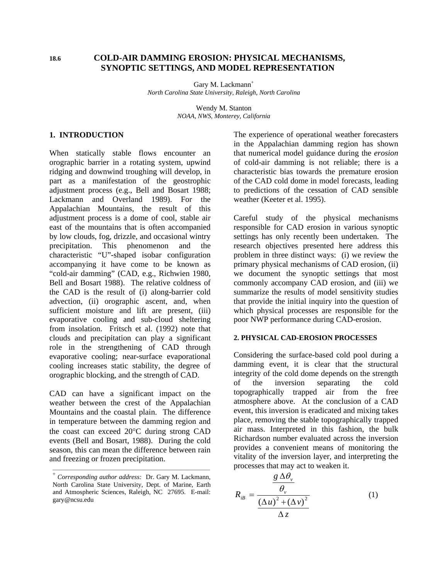# **18.6 COLD-AIR DAMMING EROSION: PHYSICAL MECHANISMS, SYNOPTIC SETTINGS, AND MODEL REPRESENTATION**

Gary M. Lackmann<sup>+</sup> *North Carolina State University, Raleigh, North Carolina* 

> Wendy M. Stanton *NOAA, NWS, Monterey, California*

## **1. INTRODUCTION**

When statically stable flows encounter an orographic barrier in a rotating system, upwind ridging and downwind troughing will develop, in part as a manifestation of the geostrophic adjustment process (e.g., Bell and Bosart 1988; Lackmann and Overland 1989). For the Appalachian Mountains, the result of this adjustment process is a dome of cool, stable air east of the mountains that is often accompanied by low clouds, fog, drizzle, and occasional wintry precipitation. This phenomenon and the characteristic "U"-shaped isobar configuration accompanying it have come to be known as "cold-air damming" (CAD, e.g., Richwien 1980, Bell and Bosart 1988). The relative coldness of the CAD is the result of (i) along-barrier cold advection, (ii) orographic ascent, and, when sufficient moisture and lift are present, (iii) evaporative cooling and sub-cloud sheltering from insolation. Fritsch et al. (1992) note that clouds and precipitation can play a significant role in the strengthening of CAD through evaporative cooling; near-surface evaporational cooling increases static stability, the degree of orographic blocking, and the strength of CAD.

CAD can have a significant impact on the weather between the crest of the Appalachian Mountains and the coastal plain. The difference in temperature between the damming region and the coast can exceed 20°C during strong CAD events (Bell and Bosart, 1988). During the cold season, this can mean the difference between rain and freezing or frozen precipitation.

**\_\_\_\_\_\_\_\_\_\_\_\_\_\_\_\_\_\_\_\_\_\_\_\_\_\_\_\_\_\_\_\_\_\_\_\_\_\_\_\_\_\_\_**

The experience of operational weather forecasters in the Appalachian damming region has shown that numerical model guidance during the *erosion* of cold-air damming is not reliable; there is a characteristic bias towards the premature erosion of the CAD cold dome in model forecasts, leading to predictions of the cessation of CAD sensible weather (Keeter et al. 1995).

Careful study of the physical mechanisms responsible for CAD erosion in various synoptic settings has only recently been undertaken. The research objectives presented here address this problem in three distinct ways: (i) we review the primary physical mechanisms of CAD erosion, (ii) we document the synoptic settings that most commonly accompany CAD erosion, and (iii) we summarize the results of model sensitivity studies that provide the initial inquiry into the question of which physical processes are responsible for the poor NWP performance during CAD-erosion.

# **2. PHYSICAL CAD-EROSION PROCESSES**

Considering the surface-based cold pool during a damming event, it is clear that the structural integrity of the cold dome depends on the strength of the inversion separating the cold topographically trapped air from the free atmosphere above. At the conclusion of a CAD event, this inversion is eradicated and mixing takes place, removing the stable topographically trapped air mass. Interpreted in this fashion, the bulk Richardson number evaluated across the inversion provides a convenient means of monitoring the vitality of the inversion layer, and interpreting the processes that may act to weaken it.

$$
R_{iB} = \frac{g \Delta \theta_{v}}{\frac{(\Delta u)^{2} + (\Delta v)^{2}}{\Delta z}}
$$
 (1)

<sup>+</sup>  *Corresponding author address:* Dr. Gary M. Lackmann, North Carolina State University, Dept. of Marine, Earth and Atmospheric Sciences, Raleigh, NC 27695. E-mail: gary@ncsu.edu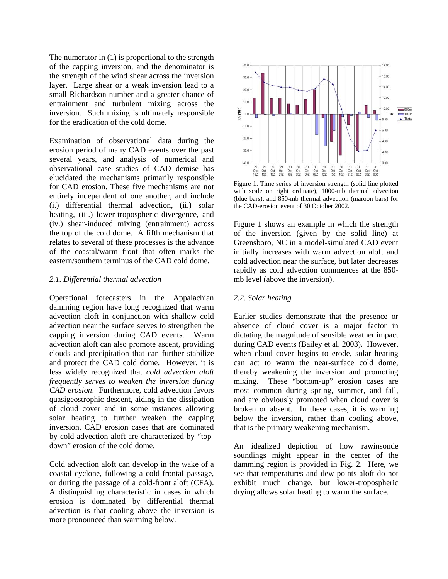The numerator in (1) is proportional to the strength of the capping inversion, and the denominator is the strength of the wind shear across the inversion layer. Large shear or a weak inversion lead to a small Richardson number and a greater chance of entrainment and turbulent mixing across the inversion. Such mixing is ultimately responsible for the eradication of the cold dome.

Examination of observational data during the erosion period of many CAD events over the past several years, and analysis of numerical and observational case studies of CAD demise has elucidated the mechanisms primarily responsible for CAD erosion. These five mechanisms are not entirely independent of one another, and include (i.) differential thermal advection, (ii.) solar heating, (iii.) lower-tropospheric divergence, and (iv.) shear-induced mixing (entrainment) across the top of the cold dome. A fifth mechanism that relates to several of these processes is the advance of the coastal/warm front that often marks the eastern/southern terminus of the CAD cold dome.

# *2.1. Differential thermal advection*

Operational forecasters in the Appalachian damming region have long recognized that warm advection aloft in conjunction with shallow cold advection near the surface serves to strengthen the capping inversion during CAD events. Warm advection aloft can also promote ascent, providing clouds and precipitation that can further stabilize and protect the CAD cold dome. However, it is less widely recognized that *cold advection aloft frequently serves to weaken the inversion during CAD erosion*. Furthermore, cold advection favors quasigeostrophic descent, aiding in the dissipation of cloud cover and in some instances allowing solar heating to further weaken the capping inversion. CAD erosion cases that are dominated by cold advection aloft are characterized by "topdown" erosion of the cold dome.

Cold advection aloft can develop in the wake of a coastal cyclone, following a cold-frontal passage, or during the passage of a cold-front aloft (CFA). A distinguishing characteristic in cases in which erosion is dominated by differential thermal advection is that cooling above the inversion is more pronounced than warming below.



Figure 1. Time series of inversion strength (solid line plotted with scale on right ordinate), 1000-mb thermal advection (blue bars), and 850-mb thermal advection (maroon bars) for the CAD-erosion event of 30 October 2002.

Figure 1 shows an example in which the strength of the inversion (given by the solid line) at Greensboro, NC in a model-simulated CAD event initially increases with warm advection aloft and cold advection near the surface, but later decreases rapidly as cold advection commences at the 850 mb level (above the inversion).

## *2.2. Solar heating*

Earlier studies demonstrate that the presence or absence of cloud cover is a major factor in dictating the magnitude of sensible weather impact during CAD events (Bailey et al. 2003). However, when cloud cover begins to erode, solar heating can act to warm the near-surface cold dome, thereby weakening the inversion and promoting mixing. These "bottom-up" erosion cases are most common during spring, summer, and fall, and are obviously promoted when cloud cover is broken or absent. In these cases, it is warming below the inversion, rather than cooling above, that is the primary weakening mechanism.

An idealized depiction of how rawinsonde soundings might appear in the center of the damming region is provided in Fig. 2. Here, we see that temperatures and dew points aloft do not exhibit much change, but lower-tropospheric drying allows solar heating to warm the surface.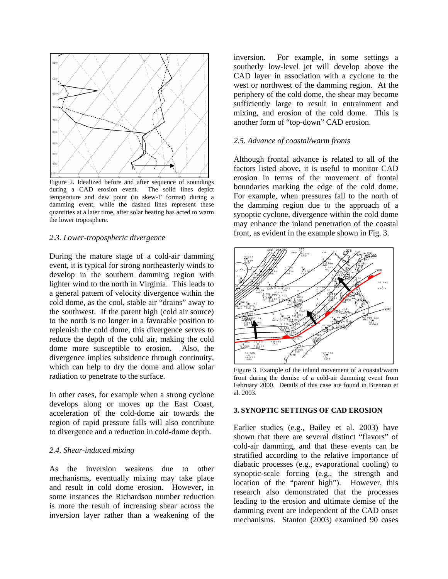

Figure 2. Idealized before and after sequence of soundings during a CAD erosion event. The solid lines depict temperature and dew point (in skew-T format) during a damming event, while the dashed lines represent these quantities at a later time, after solar heating has acted to warm the lower troposphere.

## *2.3. Lower-tropospheric divergence*

During the mature stage of a cold-air damming event, it is typical for strong northeasterly winds to develop in the southern damming region with lighter wind to the north in Virginia. This leads to a general pattern of velocity divergence within the cold dome, as the cool, stable air "drains" away to the southwest. If the parent high (cold air source) to the north is no longer in a favorable position to replenish the cold dome, this divergence serves to reduce the depth of the cold air, making the cold dome more susceptible to erosion. Also, the divergence implies subsidence through continuity, which can help to dry the dome and allow solar radiation to penetrate to the surface.

In other cases, for example when a strong cyclone develops along or moves up the East Coast, acceleration of the cold-dome air towards the region of rapid pressure falls will also contribute to divergence and a reduction in cold-dome depth.

## *2.4. Shear-induced mixing*

As the inversion weakens due to other mechanisms, eventually mixing may take place and result in cold dome erosion. However, in some instances the Richardson number reduction is more the result of increasing shear across the inversion layer rather than a weakening of the inversion. For example, in some settings a southerly low-level jet will develop above the CAD layer in association with a cyclone to the west or northwest of the damming region. At the periphery of the cold dome, the shear may become sufficiently large to result in entrainment and mixing, and erosion of the cold dome. This is another form of "top-down" CAD erosion.

#### *2.5. Advance of coastal/warm fronts*

Although frontal advance is related to all of the factors listed above, it is useful to monitor CAD erosion in terms of the movement of frontal boundaries marking the edge of the cold dome. For example, when pressures fall to the north of the damming region due to the approach of a synoptic cyclone, divergence within the cold dome may enhance the inland penetration of the coastal front, as evident in the example shown in Fig. 3.



Figure 3. Example of the inland movement of a coastal/warm front during the demise of a cold-air damming event from February 2000. Details of this case are found in Brennan et al. 2003.

# **3. SYNOPTIC SETTINGS OF CAD EROSION**

Earlier studies (e.g., Bailey et al. 2003) have shown that there are several distinct "flavors" of cold-air damming, and that these events can be stratified according to the relative importance of diabatic processes (e.g., evaporational cooling) to synoptic-scale forcing (e.g., the strength and location of the "parent high"). However, this research also demonstrated that the processes leading to the erosion and ultimate demise of the damming event are independent of the CAD onset mechanisms. Stanton (2003) examined 90 cases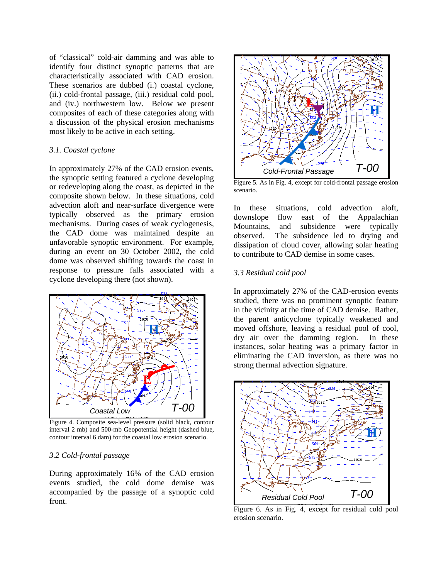of "classical" cold-air damming and was able to identify four distinct synoptic patterns that are characteristically associated with CAD erosion. These scenarios are dubbed (i.) coastal cyclone, (ii.) cold-frontal passage, (iii.) residual cold pool, and (iv.) northwestern low. Below we present composites of each of these categories along with a discussion of the physical erosion mechanisms most likely to be active in each setting.

#### *3.1. Coastal cyclone*

In approximately 27% of the CAD erosion events, the synoptic setting featured a cyclone developing or redeveloping along the coast, as depicted in the composite shown below. In these situations, cold advection aloft and near-surface divergence were typically observed as the primary erosion mechanisms. During cases of weak cyclogenesis, the CAD dome was maintained despite an unfavorable synoptic environment. For example, during an event on 30 October 2002, the cold dome was observed shifting towards the coast in response to pressure falls associated with a cyclone developing there (not shown).



Figure 4. Composite sea-level pressure (solid black, contour interval 2 mb) and 500-mb Geopotential height (dashed blue, contour interval 6 dam) for the coastal low erosion scenario.

#### *3.2 Cold-frontal passage*

During approximately 16% of the CAD erosion events studied, the cold dome demise was accompanied by the passage of a synoptic cold front.



Figure 5. As in Fig. 4, except for cold-frontal passage erosion scenario.

In these situations, cold advection aloft, downslope flow east of the Appalachian Mountains, and subsidence were typically observed. The subsidence led to drying and dissipation of cloud cover, allowing solar heating to contribute to CAD demise in some cases.

## *3.3 Residual cold pool*

In approximately 27% of the CAD-erosion events studied, there was no prominent synoptic feature in the vicinity at the time of CAD demise. Rather, the parent anticyclone typically weakened and moved offshore, leaving a residual pool of cool, dry air over the damming region. In these instances, solar heating was a primary factor in eliminating the CAD inversion, as there was no strong thermal advection signature.



Figure 6. As in Fig. 4, except for residual cold pool erosion scenario.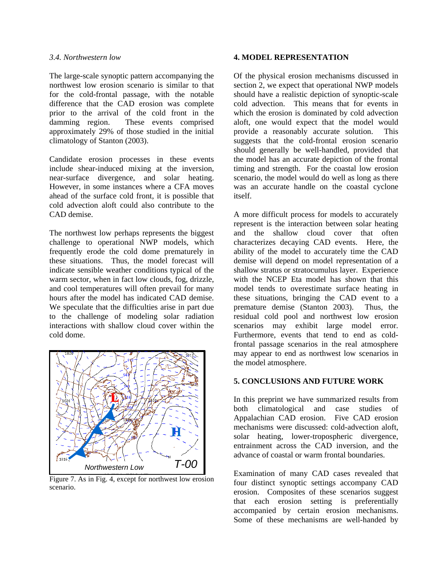## *3.4. Northwestern low*

The large-scale synoptic pattern accompanying the northwest low erosion scenario is similar to that for the cold-frontal passage, with the notable difference that the CAD erosion was complete prior to the arrival of the cold front in the damming region. These events comprised approximately 29% of those studied in the initial climatology of Stanton (2003).

Candidate erosion processes in these events include shear-induced mixing at the inversion, near-surface divergence, and solar heating. However, in some instances where a CFA moves ahead of the surface cold front, it is possible that cold advection aloft could also contribute to the CAD demise.

The northwest low perhaps represents the biggest challenge to operational NWP models, which frequently erode the cold dome prematurely in these situations. Thus, the model forecast will indicate sensible weather conditions typical of the warm sector, when in fact low clouds, fog, drizzle, and cool temperatures will often prevail for many hours after the model has indicated CAD demise. We speculate that the difficulties arise in part due to the challenge of modeling solar radiation interactions with shallow cloud cover within the cold dome.



Figure 7. As in Fig. 4, except for northwest low erosion scenario.

## **4. MODEL REPRESENTATION**

Of the physical erosion mechanisms discussed in section 2, we expect that operational NWP models should have a realistic depiction of synoptic-scale cold advection. This means that for events in which the erosion is dominated by cold advection aloft, one would expect that the model would provide a reasonably accurate solution. This suggests that the cold-frontal erosion scenario should generally be well-handled, provided that the model has an accurate depiction of the frontal timing and strength. For the coastal low erosion scenario, the model would do well as long as there was an accurate handle on the coastal cyclone itself.

A more difficult process for models to accurately represent is the interaction between solar heating and the shallow cloud cover that often characterizes decaying CAD events. Here, the ability of the model to accurately time the CAD demise will depend on model representation of a shallow stratus or stratocumulus layer. Experience with the NCEP Eta model has shown that this model tends to overestimate surface heating in these situations, bringing the CAD event to a premature demise (Stanton 2003). Thus, the residual cold pool and northwest low erosion scenarios may exhibit large model error. Furthermore, events that tend to end as coldfrontal passage scenarios in the real atmosphere may appear to end as northwest low scenarios in the model atmosphere.

## **5. CONCLUSIONS AND FUTURE WORK**

In this preprint we have summarized results from both climatological and case studies of Appalachian CAD erosion. Five CAD erosion mechanisms were discussed: cold-advection aloft, solar heating, lower-tropospheric divergence, entrainment across the CAD inversion, and the advance of coastal or warm frontal boundaries.

Examination of many CAD cases revealed that four distinct synoptic settings accompany CAD erosion. Composites of these scenarios suggest that each erosion setting is preferentially accompanied by certain erosion mechanisms. Some of these mechanisms are well-handed by